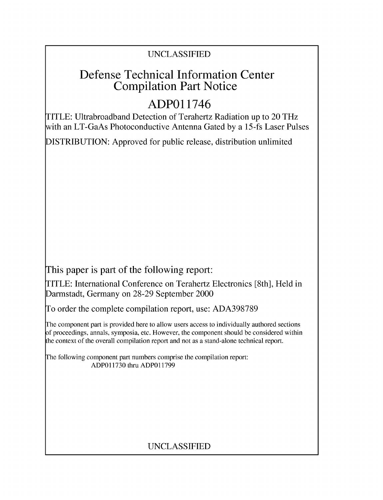### UNCLASSIFIED

## Defense Technical Information Center Compilation Part Notice

## **ADPO** 11746

TITLE: Ultrabroadband Detection of Terahertz Radiation up to 20 THz with an LT-GaAs Photoconductive Antenna Gated by a 15-fs Laser Pulses

DISTRIBUTION: Approved for public release, distribution unlimited

This paper is part of the following report:

TITLE: International Conference on Terahertz Electronics [8th], Held in Darmstadt, Germany on 28-29 September 2000

To order the complete compilation report, use: ADA398789

The component part is provided here to allow users access to individually authored sections f proceedings, annals, symposia, etc. However, the component should be considered within [he context of the overall compilation report and not as a stand-alone technical report.

The following component part numbers comprise the compilation report: ADPO11730 thru ADP011799

## UNCLASSIFIED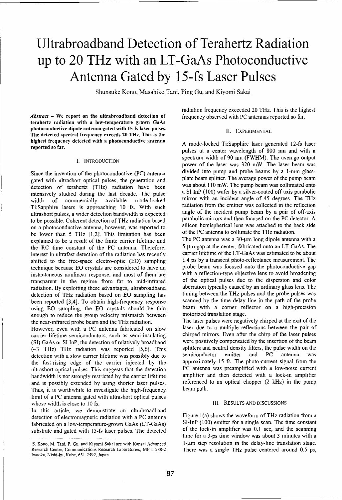# Ultrabroadband Detection of Terahertz Radiation up to 20 THz with an LT-GaAs Photoconductive Antenna Gated **by** 15-fs Laser Pulses

Shunsuke Kono, Masahiko Tani, Ping Gu, and Kiyomi Sakai

terahertz radiation with a low-temperature grown GaAs photoconductive dipole antenna gated with 15-fs laser pulses. II. EXPERIMENTAL The detected spectral frequency exceeds 20 THz. This is the highest frequency detected with a photoconductive antenna<br>A mode-locked Ti:Sapphire laser generated 12-fs laser

gated with ultrashort optical pulses, the generation and plate beam splitter. The average power of the pump beam<br>detection of terabertz (THz) radiation have been was about 110 mW. The pump beam was collimated onto detection of terahertz (THz) radiation have been was about 110 mW. The pump beam was collimated onto<br>intensively studied during the last decade. The pulse a SI InP (100) wafer by a silver-coated off-axis parabolic intensively studied during the last decade. The pulse width of commercially available mode-locked mirror with an incident angle of 45 degrees. The THz<br>TitSanphire lasers is approaching 10 fs With such radiation from the emitter was collected in the reflection Ti:Sapphire lasers is approaching 10 fs. With such radiation from the emitter was collected in the reflection<br>ultrashort pulses a wider detection bandwidth is expected angle of the incident pump beam by a pair of off-axis ultrashort pulses, a wider detection bandwidth is expected angle of the incident pump beam by a pair of off-axis<br>to be possible. Coherent detection of THz rediction based parabolic mirrors and then focused on the PC detect to be possible. Coherent detection of THz radiation based parabolic mirrors and then focused on the PC detector. A<br>silicon hemispherical lens was attached to the back side on a photoconductive antenna, however, was reported to silicon hemispherical lens was attached to the back side back side in the back side of the PC antenna to collimate the THz radiation. be lower than 5 THz  $[1,2]$ . This limitation has been explained to be a result of the finite carrier lifetime and<br>the RC time constant of the PC antenna. Therefore 5-um gap at the center, fabricated onto an LT-GaAs. The the RC time constant of the PC antenna. Therefore,<br>interest in ultrafast detection of the radiation has recently carrier lifetime of the LT-GaAs was estimated to be about interest in ultrafast detection of the radiation has recently carrier lifetime of the LT-GaAs was estimated to be about shifted to the free-space electro-optic (EO) sampling 1.4 ps by a transient photo-reflectance measurem shifted to the free-space electro-optic (EO) sampling 1.4 ps by a transient photo-reflectance measurement. The technique hecause EO crystals are considered to have an probe beam was focused onto the photoconductive gap technique because **EO** crystals are considered to have an probe beam was focused onto the photoconductive gap instantaneous nonlinear response, and most of them are with a reflection-type objective lens to avoid broadening<br>transparent in the regime from far to mid-infrared of the optical pulses due to the dispersion and color transparent in the regime from far to mid-infrared of the optical pulses due to the dispersion and color<br>
radiation By exploiting these advantages ultrabroadband aberration typically caused by an ordinary glass lens. The radiation. By exploiting these advantages, ultrabroadband aberration typically caused by an ordinary glass lens. The<br>detection of THz radiation based on EQ sampling has timing between the THz pulses and the probe pulses wa detection of THz radiation based on EO sampling has timing between the THz pulses and the probe pulses was<br>been reported [3.4]. To obtain high-frequency response scanned by the time delay line in the path of the probe been reported [3,4]. To obtain high-frequency response scanned by the time delay line in the path of the probe<br>using EQ sampling the EQ crystals should be thin beam with a corner reflector on a high-precision using EO sampling, the EO crystals should be thin beam with a corner reflection of a high-precision and  $\frac{1}{2}$  a high-precision stage. enough to reduce the group velocity mismatch between

However, even with a PC antenna fabricated on slow carrier lifetime semiconductors, such as semi-insulating chirped mirrors. Even after the chirp of the laser pulses (SI) GaAs or SI InP, the detection of relatively broadband were positively compensated by the insertion of the beam  $(\sim 3 \text{ THz})$  THz radiation was reported [5.6]. This splitters and neutral density filters, the pulse widt  $\sim$  THz) THz radiation was reported [5,6]. This splitters and neutral density filters, the pulse width on the detection with a slow carrier lifetime was nossibly due to semiconductor emitter and PC antenna was detection with a slow carrier lifetime was possibly due to semiconductor emitter and PC antenna was the fast-rising edge of the carrier injected by the approximately 15 fs. The photo-current signal from the the fast-rising edge of the carrier injected by the approximately 15 fs. The photo-current signal from the ultrashort ontical pulses. This suggests that the detection PC antenna was preamplified with a low-noise current ultrashort optical pulses. This suggests that the detection PC antenna was preamplified with a low-noise current<br>handwidth is not strongly restricted by the carrier lifetime amplifier and then detected with a lock-in ampli bandwidth is not strongly restricted by the carrier lifetime and is possibly extended by using shorter laser pulses. The pure is used to an optical chopper (2 kHz) in the pump<br>Thus it is worthwhile to investigate the high-frequency beam path. Thus, it is worthwhile to investigate the high-frequency limit of a PC antenna gated with ultrashort optical pulses whose width is close to 10 fs. **111. 111. RESULTS AND DISCUSSIONS** 

In this article, we demonstrate an ultrabroadband detection of electromagnetic radiation with a PC antenna Figure 1(a) shows the waveform of THz radiation from a<br>fabricated on a low-temperature-grown GaAs (1 T-GaAs) SI-InP (100) emitter for a single scan. The time constan fabricated on a low-temperature-grown GaAs (LT-GaAs) SI-InP (100) emitter for a single scan. The time constant<br>substrate and gated with 15 fs laser pulses. The detected of the lock-in amplifier was 0.1 sec, and the scannin substrate and gated with 15-fs laser pulses. The detected

radiation frequency exceeded 20 THz. This is the highest *Abstract* - We report on the ultrabroadband detection of frequency observed with PC antennas reported so far.

reported so far.<br>pulses at a center wavelength of 800 nm and with a pulses at a center wavelength of 800 nm and with a I. INTRODUCTION spectrum width of 90 nm (FWHM). The average output power of the laser was 320 mW. The laser beam was Since the invention of the photoconductive (PC) antenna divided into pump and probe beams by a 1-mm glass-<br>
gated with ultrashort optical pulses, the generation and plate beam splitter. The average power of the pump beam

the near-infrared probe beam and the THz radiation. The laser pulses were negatively chirped at the exit of the<br>However, even with a PC antenna fabricated on slow laser due to a multiple reflections between the pair of

time for a 3-ps time window was about 3 minutes with a S. Kono, M. Tani, P. Gu, and Kiyomi Sakai are with Kansai Advanced 1-um step resolution in the delay-line translation stage.

Research Center, Communications Research Laboratories, MPT, 588-2 There was a single THz pulse centered around 0.5 ps, Iwaoka, Nishi-ku, Kobe, 651-2492, Japan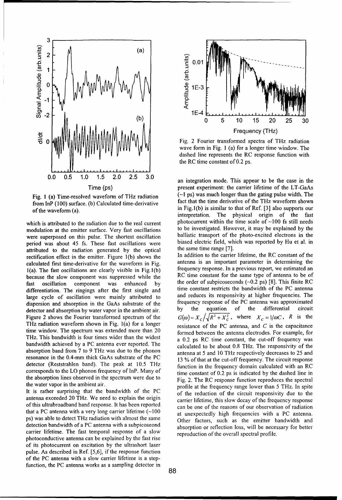

from InP (100) surface. (b) Calculated time-derivative

period was about 45 fs. These fast oscillations were biased electric field, which was reported by the optical. attributed to the radiation generated by the optical the same time range [7].<br>rectification effect in the emitter Figure 1(b) shows the In addition to the carrier lifetime, the RC constant of the because the slow component was suppressed while the detector and absorption by water vapor in the ambient air. time window. The spectrum was extended more than 20

that a PC antenna with a very long carrier lifetime (~100 at unexpectedly high frequencies with a PC antenna.<br>
ps) was able to detect THz radiation with almost the same detection bandwidth of a PC antenna with a subpicoseond absorption or reflection loss, will be necessary for better carrier lifetime. The fast temporal response of a slow reproduction of the overall spectral profile. photoconductive antenna can be explained by the fast rise of its photocurrent on excitation **by** the ultrashort laser pulse. As described in Ref. **[5,6],** if the response function of the PC antenna with a slow carrier lifetime is a stepfunction, the **PC** antenna works as a sampling detector in



wave form in Fig. 1 (a) for a longer time window, The dashed line represents the RC response function with the RC time constant of 0.2 ps.

an integration mode. This appear to be the case in the Time (ps) present experiment: the carrier lifetime of the LT-GaAs<br>d waveform of THz radiation (~1 ps) was much longer than the gating pulse width. The Fig. 1 (a) Time-resolved waveform of THz radiation (-I ps) was much longer than the gating pulse width. The from InD (100) surface (b) Coloulated time derivative fact that the time derivative of the THz waveform shown of the waveform (a).<br>
of the waveform (a).<br>
in Fig. l(b) is similar to that of Ref. [3] also supports our<br>
interpretation. The physical origin of the fast The physical origin of the fast which is attributed to the radiation due to the real current  $\frac{100}{\pi}$  photocurrent within the time scale of  $\sim$ 100 fs still needs modulation at the emitter surface. Very fact oscillations to be investigated. However, modulation at the emitter surface. Very fast oscillations to be investigated. However, it may be explained by the<br>were superposed on this pulse. The shortest oscillation ballistic transport of the photo-excited electrons i were superposed on this pulse. The shortest oscillation ballistic transport of the photo-excited electrons in the<br>period was about 45 fs. These fast oscillations were biased electric field, which was reported by Hu et al.

rectification effect in the emitter. Figure 1(b) shows the In addition to the carrier lifetime, the RC constant of the calculated first time derivative for the waveform in Fig. antenna is an important parameter in determi calculated first time-derivative for the waveform in Fig.  $\frac{1}{2}$  antenna is an important parameter in determining the  $\frac{1}{2}$ 1(a). The fast oscillations are clearly visible in Fig. 1(b) frequency response. In a previous report, we estimated an  $\text{Rec}$  RC time constant for the same type of antenna to be of Fast oscillation component was enhanced by the order of subpicoseconds  $(-0.2 \text{ ps})$  [8]. This finite RC and  $\frac{1}{2}$  differentiation  $\frac{1}{2}$  respectively the first single and time constant restricts the bandwidth of the differentiation. The ringings after the first single and time constant restricts the bandwidth of the PC antenna<br>large avale of oscillation were mainly attributed to and reduces its responsivity at higher frequencies. The large cycle of oscillation were mainly attributed to and reduces its responsivity at higher frequencies. The dispersion and observation in the GaAs substrate of the frequency response of the PC antenna was approximated dispersion and absorption in the GaAs substrate of the frequency response of the PC antenna was approximated<br>detector and absorption by water vapor in the ambient air by the equation of the differential circuit Figure 2 shows the Fourier transformed spectrum of the  $G(\omega) = X_c / \sqrt{R^2 + X_c^2}$ , where  $X_c = 1/\omega C$ , R is the THz radiation waveform shown in Fig. 1(a) for a longer resistance of the PC antenna, and  $C$  is the capacitance The statement of the spectrum was extended more than 20 formed between the antenna electrodes. For example, for This bandwidth is four times wider than the widest and  $\frac{0.2 \text{ m} \cdot \text{p}}{20.2 \text{ m} \cdot \text{p}}$  of time constant The This bandwidth is four times wider than the widest<br>bandwidth achieved by a PC antenna ever reported. The coloulated to be about 0.8 THz. The reponsivity of the calculated to be about 0.8 THz. The responsivity of the absorption band from 7 to 9 THz was due to the phonon antenna at 5 and 10 THz respectively decreases to 25 and resonance in the 0.4-mm thick GaAs substrate of the PC 12 % of that at the out off frequency. The circuit recon 13 % of that at the cut-off frequency. The circuit response detector (Reststrahlen band). The peak at 10.5 THz<br>corresponds to the LO phonon frequency of InP. Many of time constant of 0.2 ps is indicated by the dashed line in time constant of 0.2 ps is indicated by the dashed line in the absorption lines observed in the spectrum were due to Fig. 2. The RC response function reproduces the spectral the water vapor in the ambient air. profile at the frequency range lower than 5 THz. In spite It is rather surprising that the bandwidth of the PC of the reduction of the circuit responsivity due to the antenna exceeded 20 THz. We need to explain the origin carrier lifetime, this slow decay of the frequency response of this ultrabroadband band response. It has been reported can be one of the reasons of our observation of radiation Other factors, such as the emitter bandwidth and